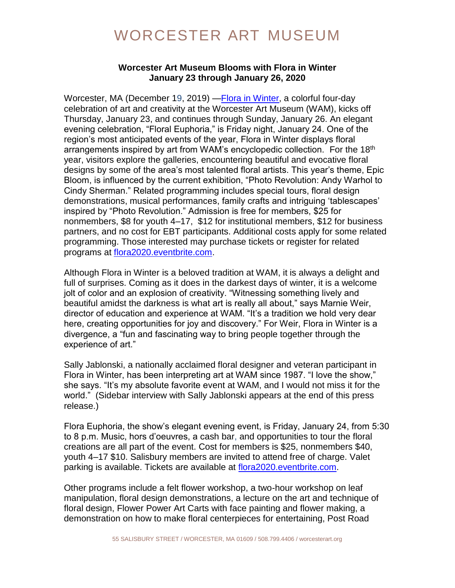#### **Worcester Art Museum Blooms with Flora in Winter January 23 through January 26, 2020**

Worcester, MA (December 19, 2019) [—Flora in Winter,](https://www.worcesterart.org/events/flora-in-winter/) a colorful four-day celebration of art and creativity at the Worcester Art Museum (WAM), kicks off Thursday, January 23, and continues through Sunday, January 26. An elegant evening celebration, "Floral Euphoria," is Friday night, January 24. One of the region's most anticipated events of the year, Flora in Winter displays floral arrangements inspired by art from WAM's encyclopedic collection. For the 18<sup>th</sup> year, visitors explore the galleries, encountering beautiful and evocative floral designs by some of the area's most talented floral artists. This year's theme, Epic Bloom, is influenced by the current exhibition, "Photo Revolution: Andy Warhol to Cindy Sherman." Related programming includes special tours, floral design demonstrations, musical performances, family crafts and intriguing 'tablescapes' inspired by "Photo Revolution." Admission is free for members, \$25 for nonmembers, \$8 for youth 4–17, \$12 for institutional members, \$12 for business partners, and no cost for EBT participants. Additional costs apply for some related programming. Those interested may purchase tickets or register for related programs at [flora2020.eventbrite.com.](https://www.eventbrite.com/e/flora-in-winter-epic-bloom-tickets-83286583413)

Although Flora in Winter is a beloved tradition at WAM, it is always a delight and full of surprises. Coming as it does in the darkest days of winter, it is a welcome jolt of color and an explosion of creativity. "Witnessing something lively and beautiful amidst the darkness is what art is really all about," says Marnie Weir, director of education and experience at WAM. "It's a tradition we hold very dear here, creating opportunities for joy and discovery." For Weir, Flora in Winter is a divergence, a "fun and fascinating way to bring people together through the experience of art."

Sally Jablonski, a nationally acclaimed floral designer and veteran participant in Flora in Winter, has been interpreting art at WAM since 1987. "I love the show," she says. "It's my absolute favorite event at WAM, and I would not miss it for the world." (Sidebar interview with Sally Jablonski appears at the end of this press release.)

Flora Euphoria, the show's elegant evening event, is Friday, January 24, from 5:30 to 8 p.m. Music, hors d'oeuvres, a cash bar, and opportunities to tour the floral creations are all part of the event. Cost for members is \$25, nonmembers \$40, youth 4–17 \$10. Salisbury members are invited to attend free of charge. Valet parking is available. Tickets are available at [flora2020.eventbrite.com.](https://www.eventbrite.com/e/flora-in-winter-epic-bloom-tickets-83286583413)

Other programs include a felt flower workshop, a two-hour workshop on leaf manipulation, floral design demonstrations, a lecture on the art and technique of floral design, Flower Power Art Carts with face painting and flower making, a demonstration on how to make floral centerpieces for entertaining, Post Road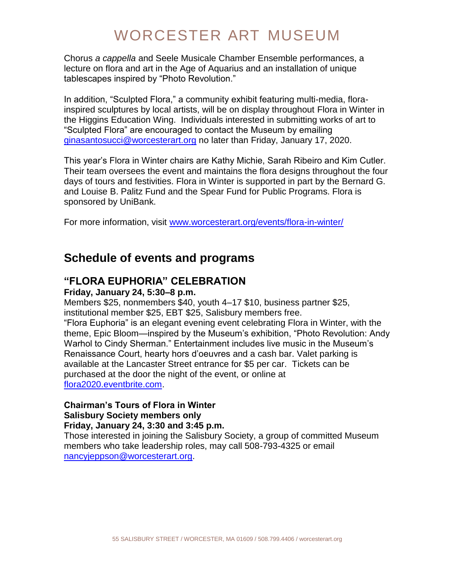Chorus *a cappella* and Seele Musicale Chamber Ensemble performances, a lecture on flora and art in the Age of Aquarius and an installation of unique tablescapes inspired by "Photo Revolution."

In addition, "Sculpted Flora," a community exhibit featuring multi-media, florainspired sculptures by local artists, will be on display throughout Flora in Winter in the Higgins Education Wing. Individuals interested in submitting works of art to "Sculpted Flora" are encouraged to contact the Museum by emailing [ginasantosucci@worcesterart.org](mailto:ginasantosucci@worcesterart.org) no later than Friday, January 17, 2020.

This year's Flora in Winter chairs are Kathy Michie, Sarah Ribeiro and Kim Cutler. Their team oversees the event and maintains the flora designs throughout the four days of tours and festivities. Flora in Winter is supported in part by the Bernard G. and Louise B. Palitz Fund and the Spear Fund for Public Programs. Flora is sponsored by UniBank.

For more information, visit [www.worcesterart.org/events/flora-in-winter/](file:///C:/Users/julieane%20frost/Desktop/www.worcesterart.org/events/flora-in-winter/)

## **Schedule of events and programs**

### **"FLORA EUPHORIA" CELEBRATION**

#### **Friday, January 24, 5:30–8 p.m.**

Members \$25, nonmembers \$40, youth 4–17 \$10, business partner \$25, institutional member \$25, EBT \$25, Salisbury members free.

"Flora Euphoria" is an elegant evening event celebrating Flora in Winter, with the theme, Epic Bloom—inspired by the Museum's exhibition, "Photo Revolution: Andy Warhol to Cindy Sherman." Entertainment includes live music in the Museum's Renaissance Court, hearty hors d'oeuvres and a cash bar. Valet parking is available at the Lancaster Street entrance for \$5 per car. Tickets can be purchased at the door the night of the event, or online at [flora2020.eventbrite.com.](https://www.eventbrite.com/e/flora-in-winter-epic-bloom-tickets-83286583413)

## **Chairman's Tours of Flora in Winter Salisbury Society members only**

#### **Friday, January 24, 3:30 and 3:45 p.m.**

Those interested in joining the Salisbury Society, a group of committed Museum members who take leadership roles, may call 508-793-4325 or email [nancyjeppson@worcesterart.org.](mailto:nancyjeppson@worcesterart.org)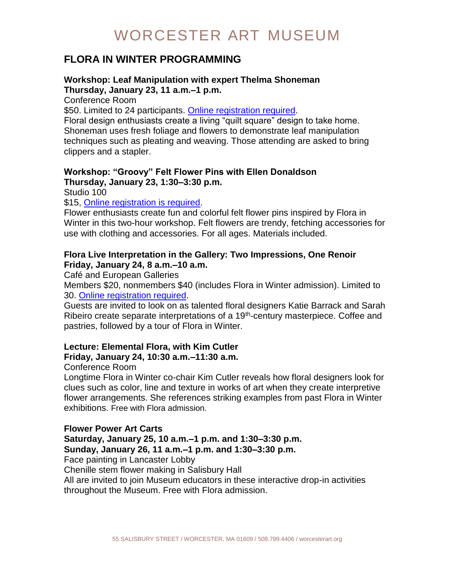## **FLORA IN WINTER PROGRAMMING**

#### **Workshop: Leaf Manipulation with expert Thelma Shoneman Thursday, January 23, 11 a.m.–1 p.m.**

Conference Room

\$50. Limited to 24 participants. [Online registration required.](https://www.eventbrite.com/e/flora-in-winter-epic-bloom-tickets-83286583413)

Floral design enthusiasts create a living "quilt square" design to take home. Shoneman uses fresh foliage and flowers to demonstrate leaf manipulation techniques such as pleating and weaving. Those attending are asked to bring clippers and a stapler.

#### **Workshop: "Groovy" Felt Flower Pins with Ellen Donaldson Thursday, January 23, 1:30–3:30 p.m.**

Studio 100

#### \$15, [Online registration is required.](https://www.eventbrite.com/e/flora-in-winter-epic-bloom-tickets-83286583413)

Flower enthusiasts create fun and colorful felt flower pins inspired by Flora in Winter in this two-hour workshop. Felt flowers are trendy, fetching accessories for use with clothing and accessories. For all ages. Materials included.

#### **Flora Live Interpretation in the Gallery: Two Impressions, One Renoir Friday, January 24, 8 a.m.–10 a.m.**

Café and European Galleries

Members \$20, nonmembers \$40 (includes Flora in Winter admission). Limited to 30. [Online registration required.](https://www.eventbrite.com/e/flora-in-winter-epic-bloom-tickets-83286583413)

Guests are invited to look on as talented floral designers Katie Barrack and Sarah Ribeiro create separate interpretations of a 19<sup>th</sup>-century masterpiece. Coffee and pastries, followed by a tour of Flora in Winter.

## **Lecture: Elemental Flora, with Kim Cutler Friday, January 24, 10:30 a.m.–11:30 a.m.**

#### Conference Room

Longtime Flora in Winter co-chair Kim Cutler reveals how floral designers look for clues such as color, line and texture in works of art when they create interpretive flower arrangements. She references striking examples from past Flora in Winter exhibitions. Free with Flora admission.

**Flower Power Art Carts Saturday, January 25, 10 a.m.–1 p.m. and 1:30–3:30 p.m. Sunday, January 26, 11 a.m.–1 p.m. and 1:30–3:30 p.m.** Face painting in Lancaster Lobby Chenille stem flower making in Salisbury Hall

All are invited to join Museum educators in these interactive drop-in activities throughout the Museum. Free with Flora admission.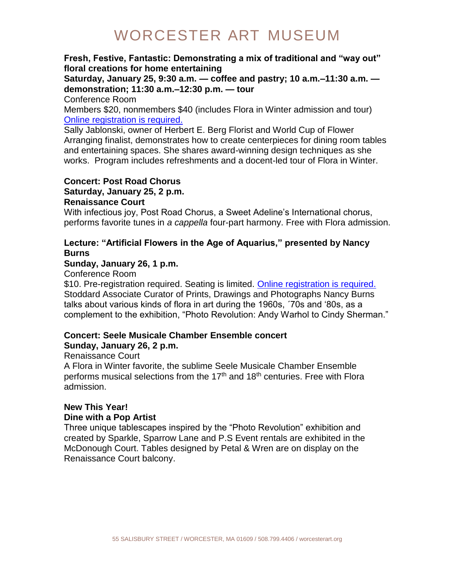### **Fresh, Festive, Fantastic: Demonstrating a mix of traditional and "way out" floral creations for home entertaining**

**Saturday, January 25, 9:30 a.m. — coffee and pastry; 10 a.m.–11:30 a.m. demonstration; 11:30 a.m.–12:30 p.m. — tour**

Conference Room

Members \$20, nonmembers \$40 (includes Flora in Winter admission and tour) [Online registration is required.](https://www.eventbrite.com/e/flora-in-winter-epic-bloom-tickets-83286583413)

Sally Jablonski, owner of Herbert E. Berg Florist and World Cup of Flower Arranging finalist, demonstrates how to create centerpieces for dining room tables and entertaining spaces. She shares award-winning design techniques as she works. Program includes refreshments and a docent-led tour of Flora in Winter.

## **Concert: Post Road Chorus**

**Saturday, January 25, 2 p.m.**

#### **Renaissance Court**

With infectious joy, Post Road Chorus, a Sweet Adeline's International chorus, performs favorite tunes in *a cappella* four-part harmony. Free with Flora admission.

### **Lecture: "Artificial Flowers in the Age of Aquarius," presented by Nancy Burns**

### **Sunday, January 26, 1 p.m.**

Conference Room

\$10. Pre-registration required. Seating is limited. [Online registration is required.](https://www.eventbrite.com/e/flora-in-winter-epic-bloom-tickets-83286583413) Stoddard Associate Curator of Prints, Drawings and Photographs Nancy Burns talks about various kinds of flora in art during the 1960s, ´70s and '80s, as a complement to the exhibition, "Photo Revolution: Andy Warhol to Cindy Sherman."

### **Concert: Seele Musicale Chamber Ensemble concert Sunday, January 26, 2 p.m.**

### Renaissance Court

A Flora in Winter favorite, the sublime Seele Musicale Chamber Ensemble performs musical selections from the  $17<sup>th</sup>$  and  $18<sup>th</sup>$  centuries. Free with Flora admission.

### **New This Year! Dine with a Pop Artist**

Three unique tablescapes inspired by the "Photo Revolution" exhibition and created by Sparkle, Sparrow Lane and P.S Event rentals are exhibited in the McDonough Court. Tables designed by Petal & Wren are on display on the Renaissance Court balcony.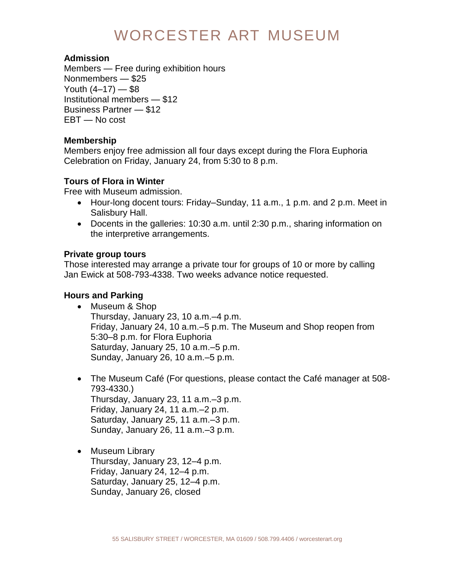### **Admission**

Members — Free during exhibition hours Nonmembers — \$25 Youth  $(4-17)$   $-$  \$8 Institutional members — \$12 Business Partner — \$12 EBT — No cost

### **Membership**

Members enjoy free admission all four days except during the Flora Euphoria Celebration on Friday, January 24, from 5:30 to 8 p.m.

## **Tours of Flora in Winter**

Free with Museum admission.

- Hour-long docent tours: Friday–Sunday, 11 a.m., 1 p.m. and 2 p.m. Meet in Salisbury Hall.
- Docents in the galleries: 10:30 a.m. until 2:30 p.m., sharing information on the interpretive arrangements.

## **Private group tours**

Those interested may arrange a private tour for groups of 10 or more by calling Jan Ewick at 508-793-4338. Two weeks advance notice requested.

### **Hours and Parking**

- Museum & Shop Thursday, January 23, 10 a.m.–4 p.m. Friday, January 24, 10 a.m.–5 p.m. The Museum and Shop reopen from 5:30–8 p.m. for Flora Euphoria Saturday, January 25, 10 a.m.–5 p.m. Sunday, January 26, 10 a.m.–5 p.m.
- The Museum Café (For questions, please contact the Café manager at 508- 793-4330.) Thursday, January 23, 11 a.m.–3 p.m. Friday, January 24, 11 a.m.–2 p.m. Saturday, January 25, 11 a.m.–3 p.m. Sunday, January 26, 11 a.m.–3 p.m.
- Museum Library Thursday, January 23, 12–4 p.m. Friday, January 24, 12–4 p.m. Saturday, January 25, 12–4 p.m. Sunday, January 26, closed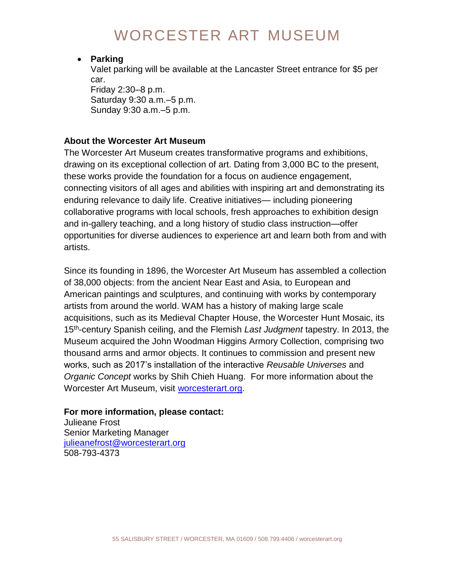#### **Parking**

Valet parking will be available at the Lancaster Street entrance for \$5 per car.

Friday 2:30–8 p.m. Saturday 9:30 a.m.–5 p.m. Sunday 9:30 a.m.–5 p.m.

### **About the Worcester Art Museum**

The Worcester Art Museum creates transformative programs and exhibitions, drawing on its exceptional collection of art. Dating from 3,000 BC to the present, these works provide the foundation for a focus on audience engagement, connecting visitors of all ages and abilities with inspiring art and demonstrating its enduring relevance to daily life. Creative initiatives— including pioneering collaborative programs with local schools, fresh approaches to exhibition design and in-gallery teaching, and a long history of studio class instruction—offer opportunities for diverse audiences to experience art and learn both from and with artists.

Since its founding in 1896, the Worcester Art Museum has assembled a collection of 38,000 objects: from the ancient Near East and Asia, to European and American paintings and sculptures, and continuing with works by contemporary artists from around the world. WAM has a history of making large scale acquisitions, such as its Medieval Chapter House, the Worcester Hunt Mosaic, its 15th -century Spanish ceiling, and the Flemish *Last Judgment* tapestry. In 2013, the Museum acquired the John Woodman Higgins Armory Collection, comprising two thousand arms and armor objects. It continues to commission and present new works, such as 2017's installation of the interactive *Reusable Universes* and *Organic Concept* works by Shih Chieh Huang. For more information about the Worcester Art Museum, visit [worcesterart.org.](https://www.worcesterart.org/)

### **For more information, please contact:**

Julieane Frost Senior Marketing Manager [julieanefrost@worcesterart.org](mailto:julieanefrost@worcesterart.org) 508-793-4373